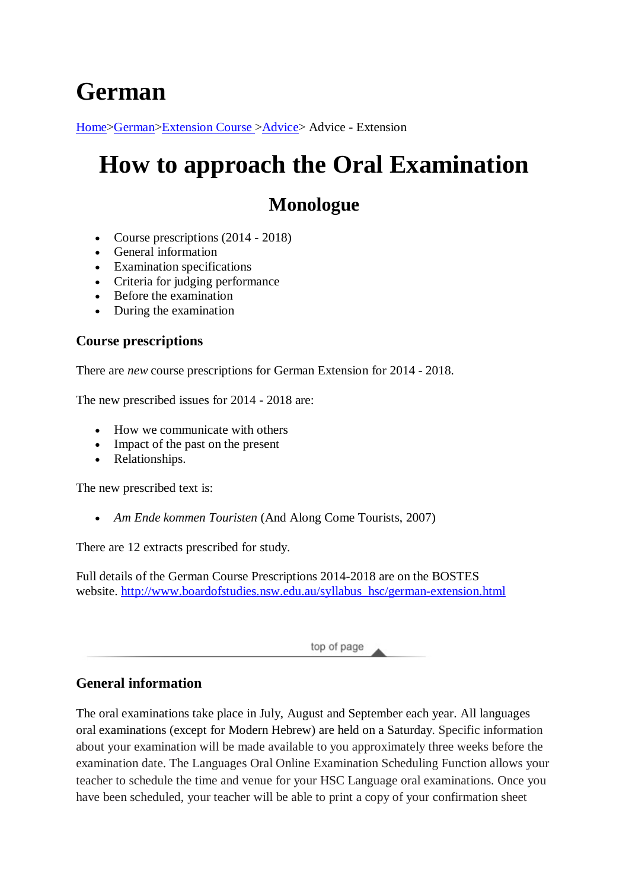# **German**

[Home>](http://www.hsc.csu.edu.au/)[German](http://www.hsc.csu.edu.au/german/)[>Extension Course >](http://www.hsc.csu.edu.au/german/#112077)[Advice>](http://www.hsc.csu.edu.au/german/extension/advice/) Advice - Extension

# **How to approach the Oral Examination**

# **Monologue**

- Course prescriptions (2014 2018)
- General information
- Examination specifications
- Criteria for judging performance
- Before the examination
- During the examination

### **Course prescriptions**

There are *new* course prescriptions for German Extension for 2014 - 2018.

The new prescribed issues for 2014 - 2018 are:

- How we communicate with others
- Impact of the past on the present
- Relationships.

The new prescribed text is:

• *Am Ende kommen Touristen* (And Along Come Tourists, 2007)

There are 12 extracts prescribed for study.

Full details of the German Course Prescriptions 2014-2018 are on the BOSTES website. [http://www.boardofstudies.nsw.edu.au/syllabus\\_hsc/german-extension.html](http://www.boardofstudies.nsw.edu.au/syllabus_hsc/german-extension.html)

top of page

## **General information**

The oral examinations take place in July, August and September each year. All languages oral examinations (except for Modern Hebrew) are held on a Saturday. Specific information about your examination will be made available to you approximately three weeks before the examination date. The Languages Oral Online Examination Scheduling Function allows your teacher to schedule the time and venue for your HSC Language oral examinations. Once you have been scheduled, your teacher will be able to print a copy of your confirmation sheet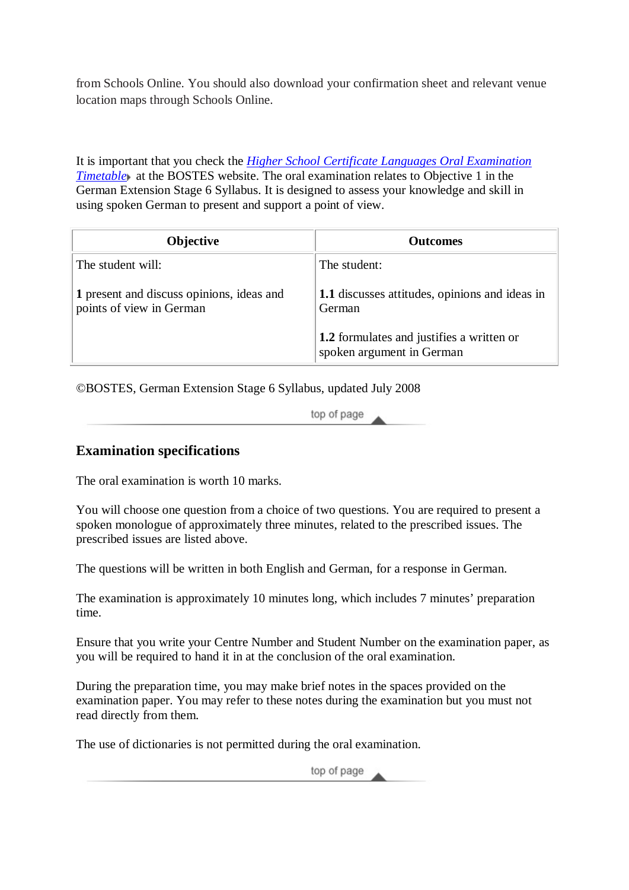from Schools Online. You should also download your confirmation sheet and relevant venue location maps through Schools Online.

It is important that you check the *[Higher School Certificate Languages Oral Examination](http://www.boardofstudies.nsw.edu.au/events/)  [Timetable](http://www.boardofstudies.nsw.edu.au/events/)* at the BOSTES website. The oral examination relates to Objective 1 in the German Extension Stage 6 Syllabus. It is designed to assess your knowledge and skill in using spoken German to present and support a point of view.

| <b>Objective</b>                                                      | <b>Outcomes</b>                                                               |
|-----------------------------------------------------------------------|-------------------------------------------------------------------------------|
| The student will:                                                     | The student:                                                                  |
| 1 present and discuss opinions, ideas and<br>points of view in German | 1.1 discusses attitudes, opinions and ideas in<br>German                      |
|                                                                       | <b>1.2</b> formulates and justifies a written or<br>spoken argument in German |

©BOSTES, German Extension Stage 6 Syllabus, updated July 2008

top of page

#### **Examination specifications**

The oral examination is worth 10 marks.

You will choose one question from a choice of two questions. You are required to present a spoken monologue of approximately three minutes, related to the prescribed issues. The prescribed issues are listed above.

The questions will be written in both English and German, for a response in German.

The examination is approximately 10 minutes long, which includes 7 minutes' preparation time.

Ensure that you write your Centre Number and Student Number on the examination paper, as you will be required to hand it in at the conclusion of the oral examination.

During the preparation time, you may make brief notes in the spaces provided on the examination paper. You may refer to these notes during the examination but you must not read directly from them.

The use of dictionaries is not permitted during the oral examination.

top of page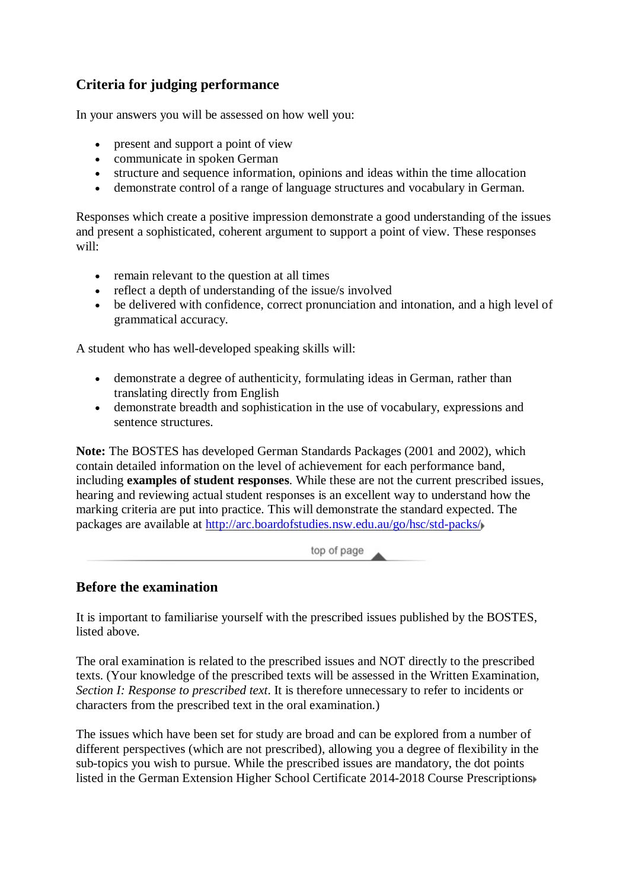## **Criteria for judging performance**

In your answers you will be assessed on how well you:

- present and support a point of view
- communicate in spoken German
- structure and sequence information, opinions and ideas within the time allocation
- demonstrate control of a range of language structures and vocabulary in German.

Responses which create a positive impression demonstrate a good understanding of the issues and present a sophisticated, coherent argument to support a point of view. These responses will:

- remain relevant to the question at all times
- reflect a depth of understanding of the issue/s involved
- be delivered with confidence, correct pronunciation and intonation, and a high level of grammatical accuracy.

A student who has well-developed speaking skills will:

- demonstrate a degree of authenticity, formulating ideas in German, rather than translating directly from English
- demonstrate breadth and sophistication in the use of vocabulary, expressions and sentence structures.

**Note:** The BOSTES has developed German Standards Packages (2001 and 2002), which contain detailed information on the level of achievement for each performance band, including **examples of student responses**. While these are not the current prescribed issues, hearing and reviewing actual student responses is an excellent way to understand how the marking criteria are put into practice. This will demonstrate the standard expected. The packages are available at<http://arc.boardofstudies.nsw.edu.au/go/hsc/std-packs/>

top of page

#### **Before the examination**

It is important to familiarise yourself with the prescribed issues published by the BOSTES, listed above.

The oral examination is related to the prescribed issues and NOT directly to the prescribed texts. (Your knowledge of the prescribed texts will be assessed in the Written Examination, *Section I: Response to prescribed text*. It is therefore unnecessary to refer to incidents or characters from the prescribed text in the oral examination.)

The issues which have been set for study are broad and can be explored from a number of different perspectives (which are not prescribed), allowing you a degree of flexibility in the sub-topics you wish to pursue. While the prescribed issues are mandatory, the dot points listed in the German Extension Higher School Certificate 2014-2018 Course Prescriptions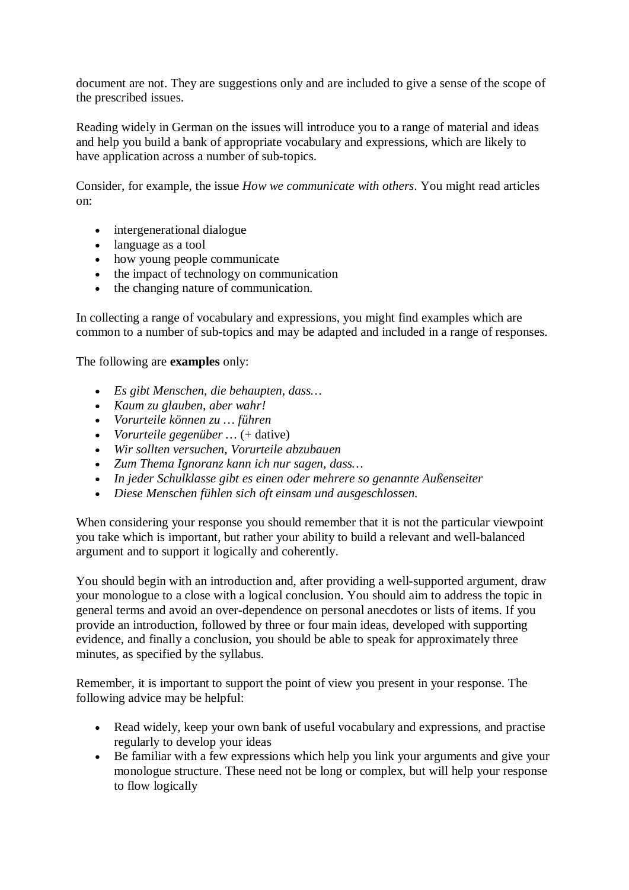document are not. They are suggestions only and are included to give a sense of the scope of the prescribed issues.

Reading widely in German on the issues will introduce you to a range of material and ideas and help you build a bank of appropriate vocabulary and expressions, which are likely to have application across a number of sub-topics.

Consider, for example, the issue *How we communicate with others*. You might read articles on:

- intergenerational dialogue
- language as a tool
- how young people communicate
- the impact of technology on communication
- the changing nature of communication.

In collecting a range of vocabulary and expressions, you might find examples which are common to a number of sub-topics and may be adapted and included in a range of responses.

The following are **examples** only:

- *Es gibt Menschen, die behaupten, dass…*
- *Kaum zu glauben, aber wahr!*
- *Vorurteile können zu … führen*
- *Vorurteile* gegenüber ... (+ dative)
- *Wir sollten versuchen, Vorurteile abzubauen*
- *Zum Thema Ignoranz kann ich nur sagen, dass…*
- *In jeder Schulklasse gibt es einen oder mehrere so genannte Außenseiter*
- *Diese Menschen fühlen sich oft einsam und ausgeschlossen.*

When considering your response you should remember that it is not the particular viewpoint you take which is important, but rather your ability to build a relevant and well-balanced argument and to support it logically and coherently.

You should begin with an introduction and, after providing a well-supported argument, draw your monologue to a close with a logical conclusion. You should aim to address the topic in general terms and avoid an over-dependence on personal anecdotes or lists of items. If you provide an introduction, followed by three or four main ideas, developed with supporting evidence, and finally a conclusion, you should be able to speak for approximately three minutes, as specified by the syllabus.

Remember, it is important to support the point of view you present in your response. The following advice may be helpful:

- Read widely, keep your own bank of useful vocabulary and expressions, and practise regularly to develop your ideas
- Be familiar with a few expressions which help you link your arguments and give your monologue structure. These need not be long or complex, but will help your response to flow logically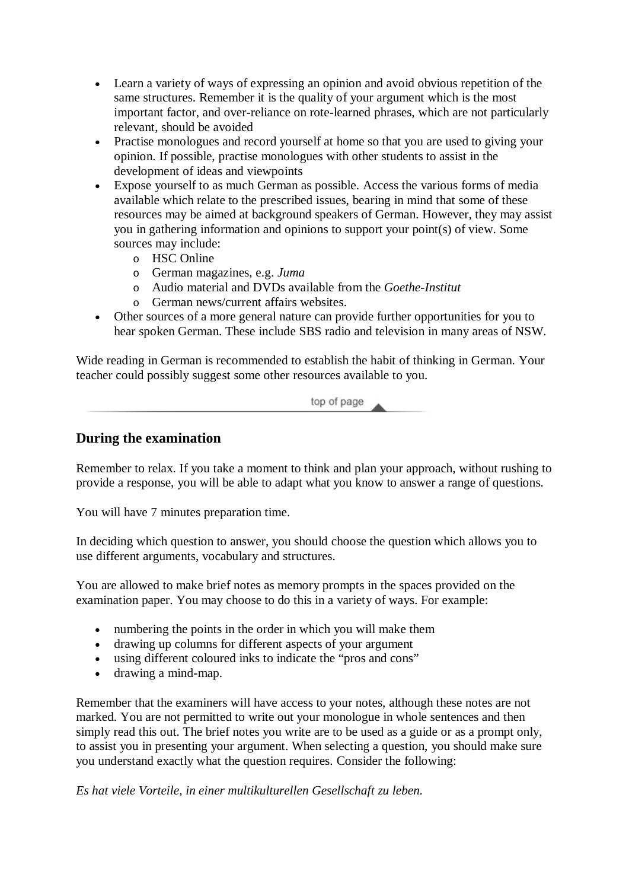- Learn a variety of ways of expressing an opinion and avoid obvious repetition of the same structures. Remember it is the quality of your argument which is the most important factor, and over-reliance on rote-learned phrases, which are not particularly relevant, should be avoided
- Practise monologues and record yourself at home so that you are used to giving your opinion. If possible, practise monologues with other students to assist in the development of ideas and viewpoints
- Expose yourself to as much German as possible. Access the various forms of media available which relate to the prescribed issues, bearing in mind that some of these resources may be aimed at background speakers of German. However, they may assist you in gathering information and opinions to support your point(s) of view. Some sources may include:
	- o HSC Online
	- o German magazines, e.g. *Juma*
	- o Audio material and DVDs available from the *Goethe-Institut*
	- o German news/current affairs websites.
- Other sources of a more general nature can provide further opportunities for you to hear spoken German. These include SBS radio and television in many areas of NSW.

Wide reading in German is recommended to establish the habit of thinking in German. Your teacher could possibly suggest some other resources available to you.

top of page

#### **During the examination**

Remember to relax. If you take a moment to think and plan your approach, without rushing to provide a response, you will be able to adapt what you know to answer a range of questions.

You will have 7 minutes preparation time.

In deciding which question to answer, you should choose the question which allows you to use different arguments, vocabulary and structures.

You are allowed to make brief notes as memory prompts in the spaces provided on the examination paper. You may choose to do this in a variety of ways. For example:

- numbering the points in the order in which you will make them
- drawing up columns for different aspects of your argument
- using different coloured inks to indicate the "pros and cons"
- drawing a mind-map.

Remember that the examiners will have access to your notes, although these notes are not marked. You are not permitted to write out your monologue in whole sentences and then simply read this out. The brief notes you write are to be used as a guide or as a prompt only, to assist you in presenting your argument. When selecting a question, you should make sure you understand exactly what the question requires. Consider the following:

*Es hat viele Vorteile, in einer multikulturellen Gesellschaft zu leben.*